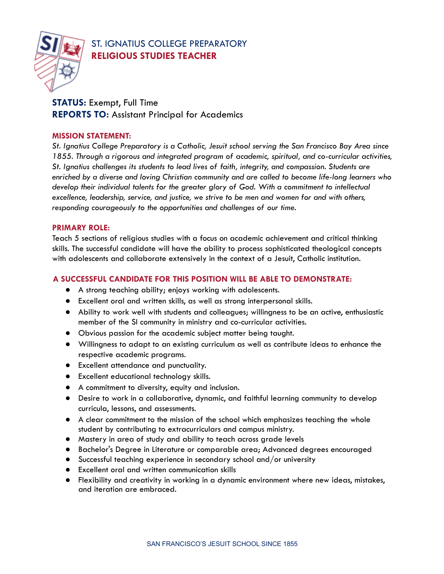

# ST. IGNATIUS COLLEGE PREPARATORY **RELIGIOUS STUDIES TEACHER**

# **STATUS:** Exempt, Full Time **REPORTS TO:** Assistant Principal for Academics

### **MISSION STATEMENT:**

*St. Ignatius College Preparatory is a Catholic, Jesuit school serving the San Francisco Bay Area since 1855. Through a rigorous and integrated program of academic, spiritual, and co-curricular activities, St. Ignatius challenges its students to lead lives of faith, integrity, and compassion. Students are enriched by a diverse and loving Christian community and are called to become life-long learners who develop their individual talents for the greater glory of God. With a commitment to intellectual excellence, leadership, service, and justice, we strive to be men and women for and with others, responding courageously to the opportunities and challenges of our time.*

### **PRIMARY ROLE:**

Teach 5 sections of religious studies with a focus on academic achievement and critical thinking skills. The successful candidate will have the ability to process sophisticated theological concepts with adolescents and collaborate extensively in the context of a Jesuit, Catholic institution.

## **A SUCCESSFUL CANDIDATE FOR THIS POSITION WILL BE ABLE TO DEMONSTRATE:**

- A strong teaching ability; enjoys working with adolescents.
- Excellent oral and written skills, as well as strong interpersonal skills.
- Ability to work well with students and colleagues; willingness to be an active, enthusiastic member of the SI community in ministry and co-curricular activities.
- Obvious passion for the academic subject matter being taught.
- Willingness to adapt to an existing curriculum as well as contribute ideas to enhance the respective academic programs.
- Excellent attendance and punctuality.
- Excellent educational technology skills.
- A commitment to diversity, equity and inclusion.
- Desire to work in a collaborative, dynamic, and faithful learning community to develop curricula, lessons, and assessments.
- A clear commitment to the mission of the school which emphasizes teaching the whole student by contributing to extracurriculars and campus ministry.
- Mastery in area of study and ability to teach across grade levels
- Bachelor's Degree in Literature or comparable area; Advanced degrees encouraged
- Successful teaching experience in secondary school and/or university
- Excellent oral and written communication skills
- Flexibility and creativity in working in a dynamic environment where new ideas, mistakes, and iteration are embraced.